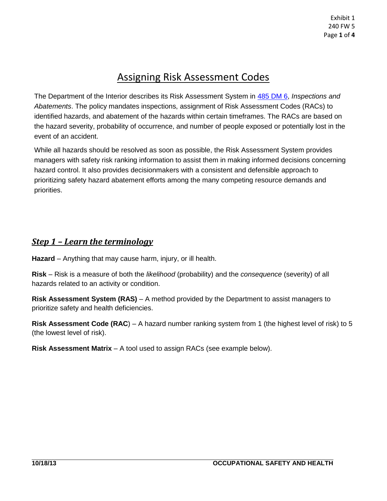## Assigning Risk Assessment Codes

The Department of the Interior describes its Risk Assessment System in 485 DM 6, *Inspections and Abatements*. The policy mandates inspections, assignment of Risk Assessment Codes (RACs) to identified hazards, and abatement of the hazards within certain timeframes. The RACs are based on the hazard severity, probability of occurrence, and number of people exposed or potentially lost in the event of an accident.

While all hazards should be resolved as soon as possible, the Risk Assessment System provides managers with safety risk ranking information to assist them in making informed decisions concerning hazard control. It also provides decisionmakers with a consistent and defensible approach to prioritizing safety hazard abatement efforts among the many competing resource demands and priorities.

#### *Step 1 – Learn the terminology*

**Hazard** – Anything that may cause harm, injury, or ill health.

**Risk** – Risk is a measure of both the *likelihood* (probability) and the *consequence* (severity) of all hazards related to an activity or condition.

**Risk Assessment System (RAS)** – A method provided by the Department to assist managers to prioritize safety and health deficiencies.

**Risk Assessment Code (RAC**) – A hazard number ranking system from 1 (the highest level of risk) to 5 (the lowest level of risk).

**Risk Assessment Matrix** – A tool used to assign RACs (see example below).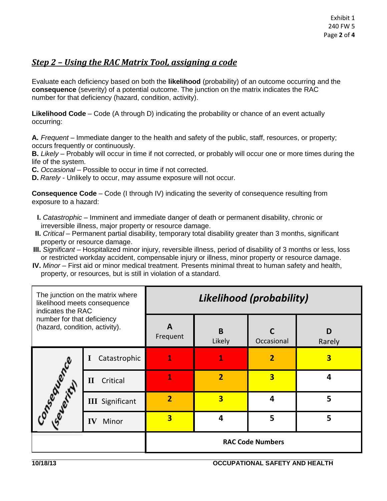#### *Step 2 – Using the RAC Matrix Tool, assigning a code*

Evaluate each deficiency based on both the **likelihood** (probability) of an outcome occurring and the **consequence** (severity) of a potential outcome. The junction on the matrix indicates the RAC number for that deficiency (hazard, condition, activity).

**Likelihood Code** – Code (A through D) indicating the probability or chance of an event actually occurring:

**A.** *Frequent* – Immediate danger to the health and safety of the public, staff, resources, or property; occurs frequently or continuously.

**B.** *Likely* – Probably will occur in time if not corrected, or probably will occur one or more times during the life of the system.

**C.** *Occasional* – Possible to occur in time if not corrected.

**D.** *Rarely* - Unlikely to occur, may assume exposure will not occur.

**Consequence Code** – Code (I through IV) indicating the severity of consequence resulting from exposure to a hazard:

- **I.** *Catastrophic* Imminent and immediate danger of death or permanent disability, chronic or irreversible illness, major property or resource damage.
- **II.** *Critical* Permanent partial disability, temporary total disability greater than 3 months, significant property or resource damage.
- **III.** *Significant* Hospitalized minor injury, reversible illness, period of disability of 3 months or less, loss or restricted workday accident, compensable injury or illness, minor property or resource damage.
- **IV.** *Minor* First aid or minor medical treatment. Presents minimal threat to human safety and health, property, or resources, but is still in violation of a standard.

| The junction on the matrix where<br>likelihood meets consequence<br>indicates the RAC<br>number for that deficiency<br>(hazard, condition, activity). |                          | Likelihood (probability) |                         |                         |             |  |
|-------------------------------------------------------------------------------------------------------------------------------------------------------|--------------------------|--------------------------|-------------------------|-------------------------|-------------|--|
|                                                                                                                                                       |                          | A<br>Frequent            | B<br>Likely             | Occasional              | D<br>Rarely |  |
| Conteguerry Ce                                                                                                                                        | Catastrophic<br>$\bf{l}$ | 1                        |                         | $\overline{2}$          | 3           |  |
|                                                                                                                                                       | Critical<br>$\mathbf{I}$ | 1                        | $\overline{2}$          | $\overline{\mathbf{3}}$ | 4           |  |
|                                                                                                                                                       | <b>III</b> Significant   | $\overline{2}$           | $\overline{\mathbf{3}}$ | 4                       | 5           |  |
|                                                                                                                                                       | Minor<br>IV              | 3                        | 4                       | 5                       | 5           |  |
|                                                                                                                                                       |                          | <b>RAC Code Numbers</b>  |                         |                         |             |  |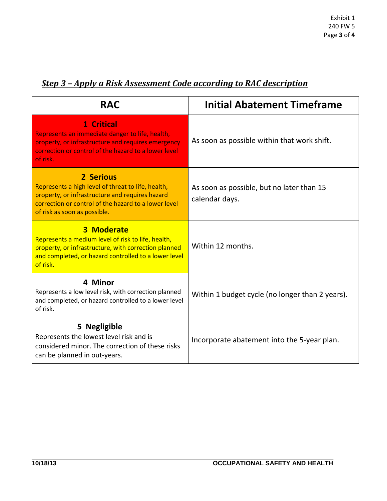| <b>RAC</b>                                                                                                                                                                                                 | <b>Initial Abatement Timeframe</b>                          |  |  |
|------------------------------------------------------------------------------------------------------------------------------------------------------------------------------------------------------------|-------------------------------------------------------------|--|--|
| 1 Critical<br>Represents an immediate danger to life, health,<br>property, or infrastructure and requires emergency<br>correction or control of the hazard to a lower level<br>of risk.                    | As soon as possible within that work shift.                 |  |  |
| 2 Serious<br>Represents a high level of threat to life, health,<br>property, or infrastructure and requires hazard<br>correction or control of the hazard to a lower level<br>of risk as soon as possible. | As soon as possible, but no later than 15<br>calendar days. |  |  |
| <b>3 Moderate</b><br>Represents a medium level of risk to life, health,<br>property, or infrastructure, with correction planned<br>and completed, or hazard controlled to a lower level<br>of risk.        | Within 12 months.                                           |  |  |
| 4 Minor<br>Represents a low level risk, with correction planned<br>and completed, or hazard controlled to a lower level<br>of risk.                                                                        | Within 1 budget cycle (no longer than 2 years).             |  |  |
| 5 Negligible<br>Represents the lowest level risk and is<br>considered minor. The correction of these risks<br>can be planned in out-years.                                                                 | Incorporate abatement into the 5-year plan.                 |  |  |

### *Step 3 – Apply a Risk Assessment Code according to RAC description*